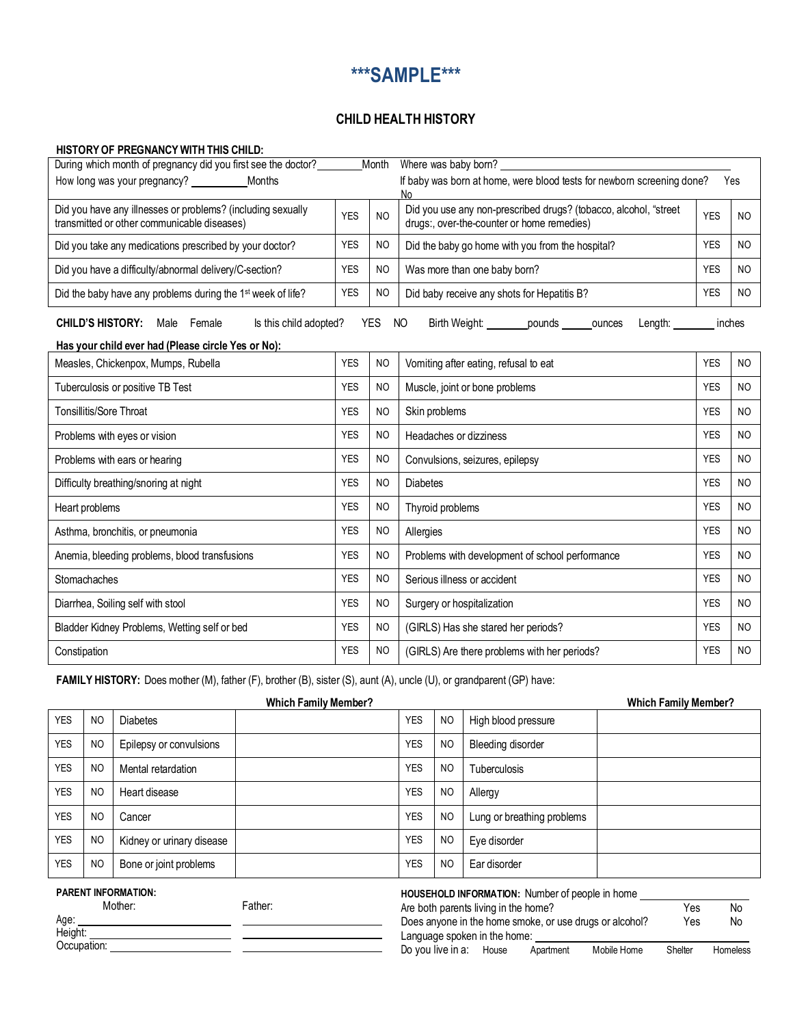## **\*\*\*SAMPLE\*\*\***

## **CHILD HEALTH HISTORY**

## **HISTORYOF PREGNANCYWITH THIS CHILD:**

| During which month of pregnancy did you first see the doctor?                                              | Month      |                | Where was baby born?                                                                                           |            |                |  |  |
|------------------------------------------------------------------------------------------------------------|------------|----------------|----------------------------------------------------------------------------------------------------------------|------------|----------------|--|--|
| How long was your pregnancy?<br>Months                                                                     |            |                | If baby was born at home, were blood tests for newborn screening done?<br>Yes<br>N٥                            |            |                |  |  |
| Did you have any illnesses or problems? (including sexually<br>transmitted or other communicable diseases) | <b>YES</b> | N <sub>O</sub> | Did you use any non-prescribed drugs? (tobacco, alcohol, "street<br>drugs:, over-the-counter or home remedies) | <b>YES</b> | <b>NO</b>      |  |  |
| Did you take any medications prescribed by your doctor?                                                    |            | <b>NO</b>      | Did the baby go home with you from the hospital?                                                               | <b>YES</b> | N <sub>O</sub> |  |  |
| Did you have a difficulty/abnormal delivery/C-section?                                                     |            | NO.            | Was more than one baby born?                                                                                   | <b>YES</b> | <b>NO</b>      |  |  |
| Did the baby have any problems during the 1 <sup>st</sup> week of life?                                    |            | N <sub>O</sub> | Did baby receive any shots for Hepatitis B?                                                                    | <b>YES</b> | <b>NO</b>      |  |  |
| <b>CHILD'S HISTORY:</b><br>Is this child adopted?<br>Male Female                                           |            | <b>YES</b>     | Birth Weight: ________pounds<br>NO<br>Length:<br>ounces                                                        | inches     |                |  |  |
| Has your child ever had (Please circle Yes or No):                                                         |            |                |                                                                                                                |            |                |  |  |
| Measles, Chickenpox, Mumps, Rubella                                                                        | <b>YES</b> | <b>NO</b>      | Vomiting after eating, refusal to eat                                                                          | <b>YES</b> | N <sub>O</sub> |  |  |
| Tuberculosis or positive TB Test                                                                           | <b>YES</b> | N <sub>O</sub> | Muscle, joint or bone problems                                                                                 | <b>YES</b> | N <sub>O</sub> |  |  |
| Tonsillitis/Sore Throat                                                                                    | <b>YES</b> | N <sub>O</sub> | Skin problems                                                                                                  | <b>YES</b> | N <sub>O</sub> |  |  |
| Problems with eyes or vision                                                                               | <b>YES</b> | N <sub>O</sub> | Headaches or dizziness                                                                                         | <b>YES</b> | <b>NO</b>      |  |  |
| Problems with ears or hearing                                                                              |            | N <sub>O</sub> | Convulsions, seizures, epilepsy                                                                                | <b>YES</b> | N <sub>O</sub> |  |  |
| Difficulty breathing/snoring at night                                                                      |            | N <sub>O</sub> | <b>Diabetes</b>                                                                                                |            | <b>NO</b>      |  |  |
| Heart problems                                                                                             | <b>YES</b> | N <sub>O</sub> | Thyroid problems                                                                                               | <b>YES</b> | <b>NO</b>      |  |  |
| Asthma, bronchitis, or pneumonia                                                                           | <b>YES</b> | N <sub>O</sub> | Allergies                                                                                                      | <b>YES</b> | <b>NO</b>      |  |  |
| Anemia, bleeding problems, blood transfusions                                                              | <b>YES</b> | N <sub>O</sub> | Problems with development of school performance                                                                | <b>YES</b> | NO.            |  |  |
| Stomachaches                                                                                               | <b>YES</b> | <b>NO</b>      | Serious illness or accident                                                                                    | <b>YES</b> | <b>NO</b>      |  |  |
| Diarrhea, Soiling self with stool                                                                          | <b>YES</b> | N <sub>O</sub> | Surgery or hospitalization                                                                                     | <b>YES</b> | NO.            |  |  |
| Bladder Kidney Problems, Wetting self or bed                                                               |            | <b>NO</b>      | (GIRLS) Has she stared her periods?                                                                            |            | NO.            |  |  |
| Constipation                                                                                               | <b>YES</b> | <b>NO</b>      | (GIRLS) Are there problems with her periods?                                                                   | <b>YES</b> | N <sub>O</sub> |  |  |

**FAMILY HISTORY:** Does mother (M), father (F), brother (B), sister (S), aunt (A), uncle (U), or grandparent (GP) have:

| <b>Which Family Member?</b>                                                   |                |                                                         |                              |            |                | <b>Which Family Member?</b> |  |  |
|-------------------------------------------------------------------------------|----------------|---------------------------------------------------------|------------------------------|------------|----------------|-----------------------------|--|--|
| <b>YES</b>                                                                    | N <sub>O</sub> | <b>Diabetes</b>                                         |                              | <b>YES</b> | <b>NO</b>      | High blood pressure         |  |  |
| <b>YES</b>                                                                    | N <sub>O</sub> | Epilepsy or convulsions                                 |                              | <b>YES</b> | N <sub>O</sub> | Bleeding disorder           |  |  |
| <b>YES</b>                                                                    | N <sub>O</sub> | Mental retardation                                      |                              | <b>YES</b> | N <sub>O</sub> | <b>Tuberculosis</b>         |  |  |
| <b>YES</b>                                                                    | N <sub>O</sub> | Heart disease                                           |                              | <b>YES</b> | <b>NO</b>      | Allergy                     |  |  |
| <b>YES</b>                                                                    | N <sub>O</sub> | Cancer                                                  |                              | <b>YES</b> | N <sub>O</sub> | Lung or breathing problems  |  |  |
| <b>YES</b>                                                                    | N <sub>O</sub> | Kidney or urinary disease                               |                              | <b>YES</b> | <b>NO</b>      | Eye disorder                |  |  |
| <b>YES</b>                                                                    | <b>NO</b>      | Bone or joint problems                                  |                              | <b>YES</b> | N <sub>O</sub> | Ear disorder                |  |  |
| <b>PARENT INFORMATION:</b><br>HOUSEHOLD INFORMATION: Number of people in home |                |                                                         |                              |            |                |                             |  |  |
| Father:<br>Mother:                                                            |                | Are both parents living in the home?                    |                              |            | Yes            | No                          |  |  |
| Age:                                                                          |                | Does anyone in the home smoke, or use drugs or alcohol? |                              |            | Yes            | No                          |  |  |
| Height:                                                                       |                |                                                         | Language spoken in the home: |            |                |                             |  |  |

| Aye.        |  |
|-------------|--|
| Height:     |  |
| Occupation: |  |

Do you live in a: House Apartment Mobile Home Shelter Homeless